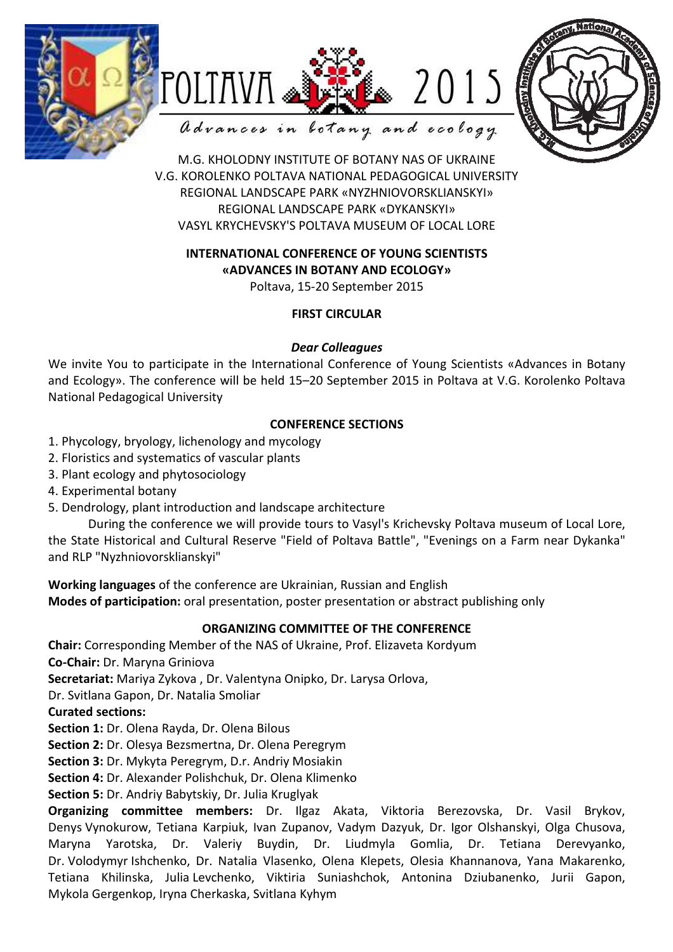





M.G. KHOLODNY INSTITUTE OF BOTANY NAS OF UKRAINE V.G. KOROLENKO POLTAVA NATIONAL PEDAGOGICAL UNIVERSITY

REGIONAL LANDSCAPE PARK «NYZHNIOVORSKLIANSKYI» REGIONAL LANDSCAPE PARK «DYKANSKYI» VASYL KRYCHEVSKY'S POLTAVA MUSEUM OF LOCAL LORE

# **INTERNATIONAL CONFERENCE OF YOUNG SCIENTISTS «ADVANCES IN BOTANY AND ECOLOGY»**

Poltava, 15-20 September 2015

### **FIRST CIRCULAR**

### *Dear Colleagues*

We invite You to participate in the International Conference of Young Scientists «Advances in Botany and Ecology». The conference will be held 15–20 September 2015 in Poltava at V.G. Korolenko Poltava National Pedagogical University

# **CONFERENCE SECTIONS**

- 1. Phycology, bryology, lichenology and mycology
- 2. Floristics and systematics of vascular plants
- 3. Plant ecology and phytosociology
- 4. Experimental botany
- 5. Dendrology, plant introduction and landscape architecture

During the conference we will provide tours to Vasyl's Krichevsky Poltava museum of Local Lore, the State Historical and Cultural Reserve "Field of Poltava Battle", "Evenings on a Farm near Dykanka" and RLP "Nyzhniovorsklianskyi"

**Working languages** of the conference are Ukrainian, Russian and English **Modes of participation:** oral presentation, poster presentation or abstract publishing only

# **ORGANIZING COMMITTEE OF THE CONFERENCE**

**Chair:** Corresponding Member of the NAS of Ukraine, Prof. Elizaveta Kordyum

**Co-Chair:** Dr. Maryna Griniova

**Secretariat:** Mariya Zykova , Dr. Valentyna Onipko, Dr. Larysa Orlova,

Dr. Svitlana Gapon, Dr. Natalia Smoliar

### **Curated sections:**

**Section 1:** Dr. Olena Rayda, Dr. Olena Bilous

**Section 2:** Dr. Olesya Bezsmertna, Dr. Olena Peregrym

**Section 3:** Dr. Mykyta Peregrym, D.r. Andriy Mosiakin

**Section 4:** Dr. Alexander Polishchuk, Dr. Olena Klimenko

**Section 5:** Dr. Andriy Babytskiy, Dr. Julia Kruglyak

**Organizing committee members:** Dr. Ilgaz Akata, Viktoria Berezovska, Dr. Vasil Brykov, Denys Vynokurow, Tetiana Karpiuk, Ivan Zupanov, Vadym Dazyuk, Dr. Igor Olshanskyi, Olga Chusova, Maryna Yarotska, Dr. Valeriy Buydin, Dr. Liudmyla Gomlia, Dr. Tetiana Derevyanko, Dr. Volodymyr Ishchenko, Dr. Natalia Vlasenko, Olena Klepets, Olesia Khannanova, Yana Makarenko, Tetiana Khilinska, Julia Levchenko, Viktiria Suniashchok, Antonina Dziubanenko, Jurii Gapon, Mykola Gergenkop, Iryna Cherkaska, Svitlana Kyhym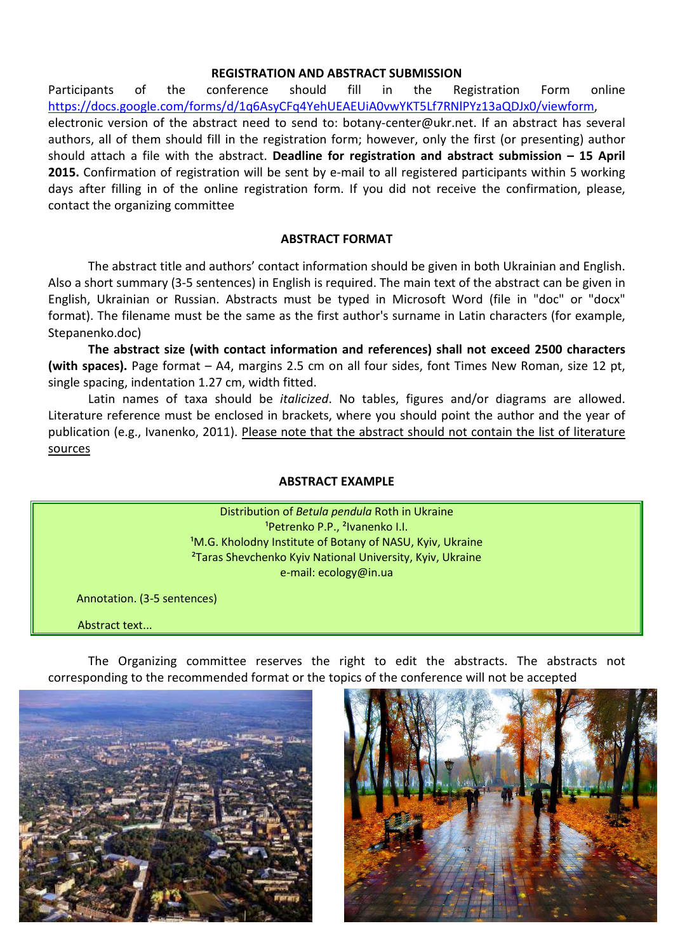#### **REGISTRATION AND ABSTRACT SUBMISSION**

Participants of the conference should fill in the Registration Form online https://docs.google.com/forms/d/1q6AsyCFq4YehUEAEUiA0vwYKT5Lf7RNlPYz13aQDJx0/viewform, electronic version of the abstract need to send to: botany-center@ukr.net. If an abstract has several authors, all of them should fill in the registration form; however, only the first (or presenting) author should attach a file with the abstract. **Deadline for registration and abstract submission – 15 April 2015.** Confirmation of registration will be sent by e-mail to all registered participants within 5 working days after filling in of the online registration form. If you did not receive the confirmation, please, contact the organizing committee

#### **ABSTRACT FORMAT**

The abstract title and authors' contact information should be given in both Ukrainian and English. Also a short summary (3-5 sentences) in English is required. The main text of the abstract can be given in English, Ukrainian or Russian. Abstracts must be typed in Microsoft Word (file in "doc" or "docx" format). The filename must be the same as the first author's surname in Latin characters (for example, Stepanenko.doc)

**The abstract size (with contact information and references) shall not exceed 2500 characters (with spaces).** Page format – A4, margins 2.5 cm on all four sides, font Times New Roman, size 12 pt, single spacing, indentation 1.27 cm, width fitted.

Latin names of taxa should be *italicized*. No tables, figures and/or diagrams are allowed. Literature reference must be enclosed in brackets, where you should point the author and the year of publication (e.g., Ivanenko, 2011). Please note that the abstract should not contain the list of literature sources

#### **ABSTRACT EXAMPLE**

Distribution of *Betula pendula* Roth in Ukraine <sup>1</sup>Petrenko P.P., <sup>2</sup>Ivanenko I.I. <sup>1</sup>M.G. Kholodny Institute of Botany of NASU, Kyiv, Ukraine ²Taras Shevchenko Kyiv National University, Kyiv, Ukraine e-mail: ecology@in.ua

Annotation. (3-5 sentences)

Abstract text...

The Organizing committee reserves the right to edit the abstracts. The abstracts not corresponding to the recommended format or the topics of the conference will not be accepted